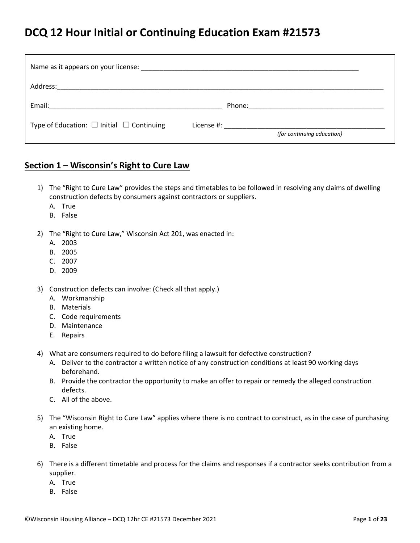## **DCQ 12 Hour Initial or Continuing Education Exam #21573**

| Name as it appears on your license: example and a series of the series of the series of the series of the series of the series of the series of the series of the series of the series of the series of the series of the seri |                            |  |
|--------------------------------------------------------------------------------------------------------------------------------------------------------------------------------------------------------------------------------|----------------------------|--|
| Address:                                                                                                                                                                                                                       |                            |  |
| Email: Email: Email: Particular Contract Contract Contract Contract Contract Contract Contract Contract Contract Contract Contract Contract Contract Contract Contract Contract Contract Contract Contract Contract Contract C |                            |  |
| Type of Education: $\Box$ Initial $\Box$ Continuing                                                                                                                                                                            | (for continuing education) |  |

#### **Section 1 – Wisconsin's Right to Cure Law**

- 1) The "Right to Cure Law" provides the steps and timetables to be followed in resolving any claims of dwelling construction defects by consumers against contractors or suppliers.
	- A. True
	- B. False
- 2) The "Right to Cure Law," Wisconsin Act 201, was enacted in:
	- A. 2003
	- B. 2005
	- C. 2007
	- D. 2009
- 3) Construction defects can involve: (Check all that apply.)
	- A. Workmanship
	- B. Materials
	- C. Code requirements
	- D. Maintenance
	- E. Repairs
- 4) What are consumers required to do before filing a lawsuit for defective construction?
	- A. Deliver to the contractor a written notice of any construction conditions at least 90 working days beforehand.
	- B. Provide the contractor the opportunity to make an offer to repair or remedy the alleged construction defects.
	- C. All of the above.
- 5) The "Wisconsin Right to Cure Law" applies where there is no contract to construct, as in the case of purchasing an existing home.
	- A. True
	- B. False
- 6) There is a different timetable and process for the claims and responses if a contractor seeks contribution from a supplier.
	- A. True
	- B. False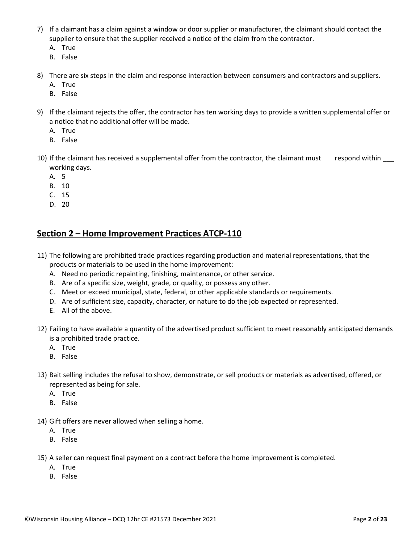- 7) If a claimant has a claim against a window or door supplier or manufacturer, the claimant should contact the supplier to ensure that the supplier received a notice of the claim from the contractor.
	- A. True
	- B. False
- 8) There are six steps in the claim and response interaction between consumers and contractors and suppliers.
	- A. True
	- B. False
- 9) If the claimant rejects the offer, the contractor has ten working days to provide a written supplemental offer or a notice that no additional offer will be made.
	- A. True
	- B. False
- 10) If the claimant has received a supplemental offer from the contractor, the claimant must respond within \_\_\_ working days.
	- A. 5
	- B. 10
	- C. 15
	- D. 20

### **Section 2 – Home Improvement Practices ATCP-110**

- 11) The following are prohibited trade practices regarding production and material representations, that the products or materials to be used in the home improvement:
	- A. Need no periodic repainting, finishing, maintenance, or other service.
	- B. Are of a specific size, weight, grade, or quality, or possess any other.
	- C. Meet or exceed municipal, state, federal, or other applicable standards or requirements.
	- D. Are of sufficient size, capacity, character, or nature to do the job expected or represented.
	- E. All of the above.
- 12) Failing to have available a quantity of the advertised product sufficient to meet reasonably anticipated demands is a prohibited trade practice.
	- A. True
	- B. False
- 13) Bait selling includes the refusal to show, demonstrate, or sell products or materials as advertised, offered, or represented as being for sale.
	- A. True
	- B. False
- 14) Gift offers are never allowed when selling a home.
	- A. True
	- B. False
- 15) A seller can request final payment on a contract before the home improvement is completed.
	- A. True
	- B. False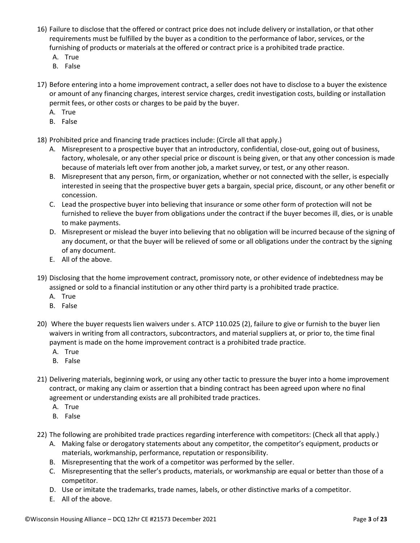- 16) Failure to disclose that the offered or contract price does not include delivery or installation, or that other requirements must be fulfilled by the buyer as a condition to the performance of labor, services, or the furnishing of products or materials at the offered or contract price is a prohibited trade practice.
	- A. True
	- B. False
- 17) Before entering into a home improvement contract, a seller does not have to disclose to a buyer the existence or amount of any financing charges, interest service charges, credit investigation costs, building or installation permit fees, or other costs or charges to be paid by the buyer.
	- A. True
	- B. False
- 18) Prohibited price and financing trade practices include: (Circle all that apply.)
	- A. Misrepresent to a prospective buyer that an introductory, confidential, close-out, going out of business, factory, wholesale, or any other special price or discount is being given, or that any other concession is made because of materials left over from another job, a market survey, or test, or any other reason.
	- B. Misrepresent that any person, firm, or organization, whether or not connected with the seller, is especially interested in seeing that the prospective buyer gets a bargain, special price, discount, or any other benefit or concession.
	- C. Lead the prospective buyer into believing that insurance or some other form of protection will not be furnished to relieve the buyer from obligations under the contract if the buyer becomes ill, dies, or is unable to make payments.
	- D. Misrepresent or mislead the buyer into believing that no obligation will be incurred because of the signing of any document, or that the buyer will be relieved of some or all obligations under the contract by the signing of any document.
	- E. All of the above.
- 19) Disclosing that the home improvement contract, promissory note, or other evidence of indebtedness may be assigned or sold to a financial institution or any other third party is a prohibited trade practice.
	- A. True
	- B. False
- 20) Where the buyer requests lien waivers under s. ATCP 110.025 (2), failure to give or furnish to the buyer lien waivers in writing from all contractors, subcontractors, and material suppliers at, or prior to, the time final payment is made on the home improvement contract is a prohibited trade practice.
	- A. True
	- B. False
- 21) Delivering materials, beginning work, or using any other tactic to pressure the buyer into a home improvement contract, or making any claim or assertion that a binding contract has been agreed upon where no final agreement or understanding exists are all prohibited trade practices.
	- A. True
	- B. False
- 22) The following are prohibited trade practices regarding interference with competitors: (Check all that apply.)
	- A. Making false or derogatory statements about any competitor, the competitor's equipment, products or materials, workmanship, performance, reputation or responsibility.
	- B. Misrepresenting that the work of a competitor was performed by the seller.
	- C. Misrepresenting that the seller's products, materials, or workmanship are equal or better than those of a competitor.
	- D. Use or imitate the trademarks, trade names, labels, or other distinctive marks of a competitor.
	- E. All of the above.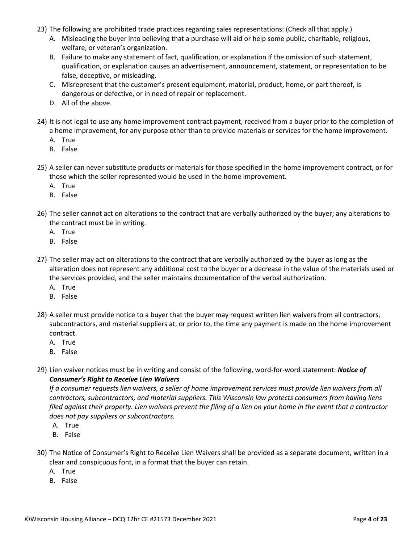- 23) The following are prohibited trade practices regarding sales representations: (Check all that apply.)
	- A. Misleading the buyer into believing that a purchase will aid or help some public, charitable, religious, welfare, or veteran's organization.
	- B. Failure to make any statement of fact, qualification, or explanation if the omission of such statement, qualification, or explanation causes an advertisement, announcement, statement, or representation to be false, deceptive, or misleading.
	- C. Misrepresent that the customer's present equipment, material, product, home, or part thereof, is dangerous or defective, or in need of repair or replacement.
	- D. All of the above.
- 24) It is not legal to use any home improvement contract payment, received from a buyer prior to the completion of a home improvement, for any purpose other than to provide materials or services for the home improvement.
	- A. True
	- B. False
- 25) A seller can never substitute products or materials for those specified in the home improvement contract, or for those which the seller represented would be used in the home improvement.
	- A. True
	- B. False
- 26) The seller cannot act on alterations to the contract that are verbally authorized by the buyer; any alterations to the contract must be in writing.
	- A. True
	- B. False
- 27) The seller may act on alterations to the contract that are verbally authorized by the buyer as long as the alteration does not represent any additional cost to the buyer or a decrease in the value of the materials used or the services provided, and the seller maintains documentation of the verbal authorization.
	- A. True
	- B. False
- 28) A seller must provide notice to a buyer that the buyer may request written lien waivers from all contractors, subcontractors, and material suppliers at, or prior to, the time any payment is made on the home improvement contract.
	- A. True
	- B. False
- 29) Lien waiver notices must be in writing and consist of the following, word-for-word statement: *Notice of Consumer's Right to Receive Lien Waivers*

*If a consumer requests lien waivers, a seller of home improvement services must provide lien waivers from all contractors, subcontractors, and material suppliers. This Wisconsin law protects consumers from having liens filed against their property. Lien waivers prevent the filing of a lien on your home in the event that a contractor does not pay suppliers or subcontractors.*

- A. True
- B. False
- 30) The Notice of Consumer's Right to Receive Lien Waivers shall be provided as a separate document, written in a clear and conspicuous font, in a format that the buyer can retain.
	- A. True
	- B. False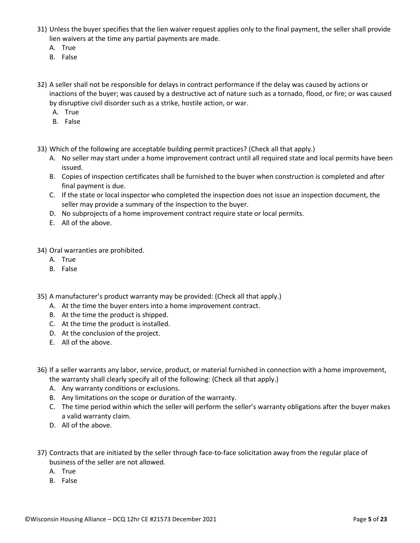- 31) Unless the buyer specifies that the lien waiver request applies only to the final payment, the seller shall provide lien waivers at the time any partial payments are made.
	- A. True
	- B. False
- 32) A seller shall not be responsible for delays in contract performance if the delay was caused by actions or inactions of the buyer; was caused by a destructive act of nature such as a tornado, flood, or fire; or was caused by disruptive civil disorder such as a strike, hostile action, or war.
	- A. True
	- B. False
- 33) Which of the following are acceptable building permit practices? (Check all that apply.)
	- A. No seller may start under a home improvement contract until all required state and local permits have been issued.
	- B. Copies of inspection certificates shall be furnished to the buyer when construction is completed and after final payment is due.
	- C. If the state or local inspector who completed the inspection does not issue an inspection document, the seller may provide a summary of the inspection to the buyer.
	- D. No subprojects of a home improvement contract require state or local permits.
	- E. All of the above.

34) Oral warranties are prohibited.

- A. True
- B. False

35) A manufacturer's product warranty may be provided: (Check all that apply.)

- A. At the time the buyer enters into a home improvement contract.
- B. At the time the product is shipped.
- C. At the time the product is installed.
- D. At the conclusion of the project.
- E. All of the above.
- 36) If a seller warrants any labor, service, product, or material furnished in connection with a home improvement, the warranty shall clearly specify all of the following: (Check all that apply.)
	- A. Any warranty conditions or exclusions.
	- B. Any limitations on the scope or duration of the warranty.
	- C. The time period within which the seller will perform the seller's warranty obligations after the buyer makes a valid warranty claim.
	- D. All of the above.
- 37) Contracts that are initiated by the seller through face-to-face solicitation away from the regular place of business of the seller are not allowed.
	- A. True
	- B. False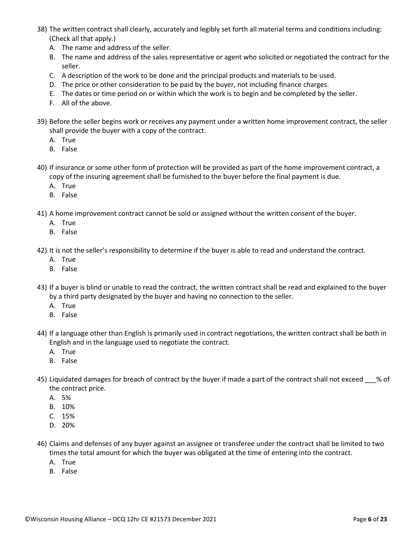- 38) The written contract shall clearly, accurately and legibly set forth all material terms and conditions including: (Check all that apply.)
	- A. The name and address of the seller.
	- B. The name and address of the sales representative or agent who solicited or negotiated the contract for the seller.
	- C. A description of the work to be done and the principal products and materials to be used.
	- D. The price or other consideration to be paid by the buyer, not including finance charges.
	- E. The dates or time period on or within which the work is to begin and be completed by the seller.
	- F. All of the above.
- 39) Before the seller begins work or receives any payment under a written home improvement contract, the seller shall provide the buyer with a copy of the contract.
	- A. True
	- B. False
- 40) If insurance or some other form of protection will be provided as part of the home improvement contract, a copy of the insuring agreement shall be furnished to the buyer before the final payment is due.
	- A. True
	- B. False
- 41) A home improvement contract cannot be sold or assigned without the written consent of the buyer.
	- A. True
	- B. False
- 42) It is not the seller's responsibility to determine if the buyer is able to read and understand the contract.
	- A. True
	- B. False
- 43) If a buyer is blind or unable to read the contract, the written contract shall be read and explained to the buyer by a third party designated by the buyer and having no connection to the seller.
	- A. True
	- B. False
- 44) If a language other than English is primarily used in contract negotiations, the written contract shall be both in English and in the language used to negotiate the contract.
	- A. True
	- B. False
- 45) Liquidated damages for breach of contract by the buyer if made a part of the contract shall not exceed % of the contract price.
	- A. 5%
	- B. 10%
	- C. 15%
	- D. 20%
- 46) Claims and defenses of any buyer against an assignee or transferee under the contract shall be limited to two times the total amount for which the buyer was obligated at the time of entering into the contract.
	- A. True
	- B. False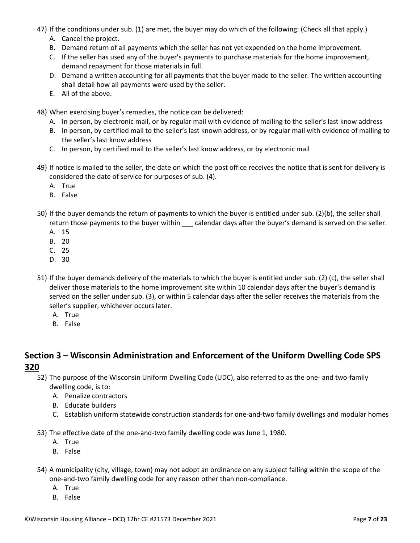- 47) If the conditions under sub. (1) are met, the buyer may do which of the following: (Check all that apply.)
	- A. Cancel the project.
	- B. Demand return of all payments which the seller has not yet expended on the home improvement.
	- C. If the seller has used any of the buyer's payments to purchase materials for the home improvement, demand repayment for those materials in full.
	- D. Demand a written accounting for all payments that the buyer made to the seller. The written accounting shall detail how all payments were used by the seller.
	- E. All of the above.
- 48) When exercising buyer's remedies, the notice can be delivered:
	- A. In person, by electronic mail, or by regular mail with evidence of mailing to the seller's last know address
	- B. In person, by certified mail to the seller's last known address, or by regular mail with evidence of mailing to the seller's last know address
	- C. In person, by certified mail to the seller's last know address, or by electronic mail
- 49) If notice is mailed to the seller, the date on which the post office receives the notice that is sent for delivery is considered the date of service for purposes of sub. (4).
	- A. True
	- B. False
- 50) If the buyer demands the return of payments to which the buyer is entitled under sub. (2)(b), the seller shall return those payments to the buyer within calendar days after the buyer's demand is served on the seller.
	- A. 15
	- B. 20
	- C. 25
	- D. 30
- 51) If the buyer demands delivery of the materials to which the buyer is entitled under sub. (2) (c), the seller shall deliver those materials to the home improvement site within 10 calendar days after the buyer's demand is served on the seller under sub. (3), or within 5 calendar days after the seller receives the materials from the seller's supplier, whichever occurs later.
	- A. True
	- B. False

## **Section 3 – Wisconsin Administration and Enforcement of the Uniform Dwelling Code SPS 320**

- 52) The purpose of the Wisconsin Uniform Dwelling Code (UDC), also referred to as the one- and two-family dwelling code, is to:
	- A. Penalize contractors
	- B. Educate builders
	- C. Establish uniform statewide construction standards for one-and-two family dwellings and modular homes
- 53) The effective date of the one-and-two family dwelling code was June 1, 1980.
	- A. True
	- B. False
- 54) A municipality (city, village, town) may not adopt an ordinance on any subject falling within the scope of the one-and-two family dwelling code for any reason other than non-compliance.
	- A. True
	- B. False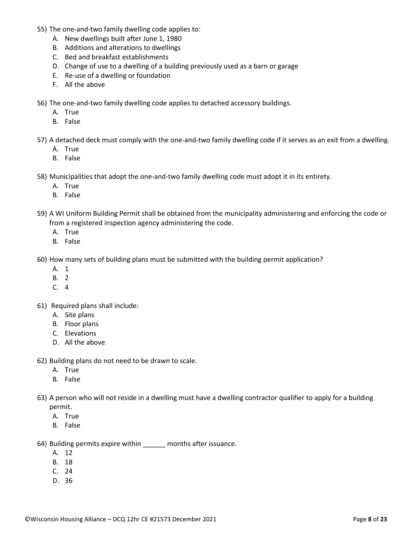- 55) The one-and-two family dwelling code applies to:
	- A. New dwellings built after June 1, 1980
	- B. Additions and alterations to dwellings
	- C. Bed and breakfast establishments
	- D. Change of use to a dwelling of a building previously used as a barn or garage
	- E. Re-use of a dwelling or foundation
	- F. All the above
- 56) The one-and-two family dwelling code applies to detached accessory buildings.
	- A. True
	- B. False
- 57) A detached deck must comply with the one-and-two family dwelling code if it serves as an exit from a dwelling.
	- A. True
	- B. False
- 58) Municipalities that adopt the one-and-two family dwelling code must adopt it in its entirety.
	- A. True
	- B. False
- 59) A WI Uniform Building Permit shall be obtained from the municipality administering and enforcing the code or from a registered inspection agency administering the code.
	- A. True
	- B. False
- 60) How many sets of building plans must be submitted with the building permit application?
	- A. 1
	- B. 2
	- C. 4
- 61) Required plans shall include:
	- A. Site plans
	- B. Floor plans
	- C. Elevations
	- D. All the above
- 62) Building plans do not need to be drawn to scale.
	- A. True
	- B. False
- 63) A person who will not reside in a dwelling must have a dwelling contractor qualifier to apply for a building permit.
	- A. True
	- B. False
- 64) Building permits expire within \_\_\_\_\_\_ months after issuance.
	- A. 12
	- B. 18
	- C. 24
	- D. 36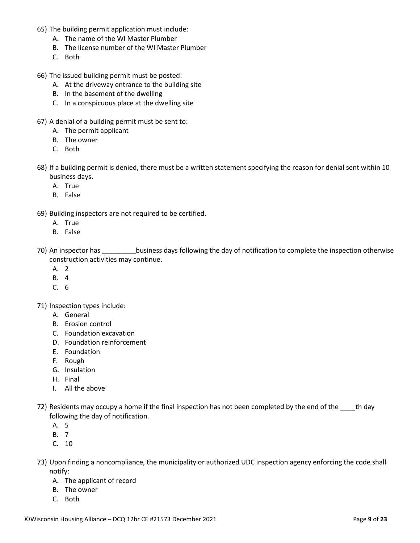- 65) The building permit application must include:
	- A. The name of the WI Master Plumber
	- B. The license number of the WI Master Plumber
	- C. Both
- 66) The issued building permit must be posted:
	- A. At the driveway entrance to the building site
	- B. In the basement of the dwelling
	- C. In a conspicuous place at the dwelling site
- 67) A denial of a building permit must be sent to:
	- A. The permit applicant
	- B. The owner
	- C. Both
- 68) If a building permit is denied, there must be a written statement specifying the reason for denial sent within 10 business days.
	- A. True
	- B. False
- 69) Building inspectors are not required to be certified.
	- A. True
	- B. False
- 70) An inspector has \_\_\_\_\_\_\_\_\_business days following the day of notification to complete the inspection otherwise construction activities may continue.
	- A. 2
	- B. 4
	- C. 6

71) Inspection types include:

- A. General
- B. Erosion control
- C. Foundation excavation
- D. Foundation reinforcement
- E. Foundation
- F. Rough
- G. Insulation
- H. Final
- I. All the above
- 72) Residents may occupy a home if the final inspection has not been completed by the end of the the day following the day of notification.
	- A. 5
	- B. 7
	- C. 10
- 73) Upon finding a noncompliance, the municipality or authorized UDC inspection agency enforcing the code shall notify:
	- A. The applicant of record
	- B. The owner
	- C. Both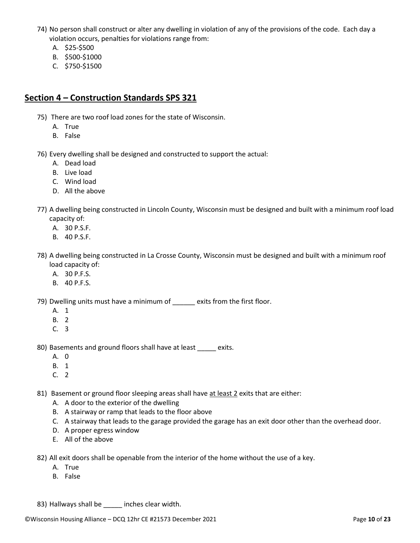- 74) No person shall construct or alter any dwelling in violation of any of the provisions of the code. Each day a violation occurs, penalties for violations range from:
	- A. \$25-\$500
	- B. \$500-\$1000
	- C. \$750-\$1500

### **Section 4 – Construction Standards SPS 321**

- 75) There are two roof load zones for the state of Wisconsin.
	- A. True
	- B. False
- 76) Every dwelling shall be designed and constructed to support the actual:
	- A. Dead load
	- B. Live load
	- C. Wind load
	- D. All the above
- 77) A dwelling being constructed in Lincoln County, Wisconsin must be designed and built with a minimum roof load capacity of:
	- A. 30 P.S.F.
	- B. 40 P.S.F.
- 78) A dwelling being constructed in La Crosse County, Wisconsin must be designed and built with a minimum roof load capacity of:
	- A. 30 P.F.S.
	- B. 40 P.F.S.

79) Dwelling units must have a minimum of exits from the first floor.

- A. 1
- B. 2
- C. 3

80) Basements and ground floors shall have at least exits.

- A. 0
- B. 1
- C. 2

81) Basement or ground floor sleeping areas shall have at least 2 exits that are either:

- A. A door to the exterior of the dwelling
- B. A stairway or ramp that leads to the floor above
- C. A stairway that leads to the garage provided the garage has an exit door other than the overhead door.
- D. A proper egress window
- E. All of the above

82) All exit doors shall be openable from the interior of the home without the use of a key.

- A. True
- B. False

83) Hallways shall be \_\_\_\_\_\_ inches clear width.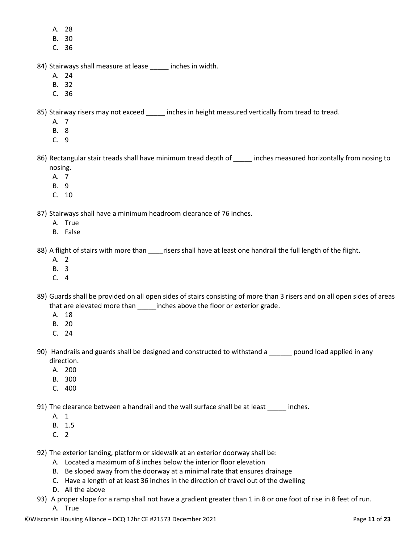- A. 28
- B. 30
- C. 36
- 84) Stairways shall measure at lease inches in width.
	- A. 24
	- B. 32
	- C. 36

85) Stairway risers may not exceed \_\_\_\_\_ inches in height measured vertically from tread to tread.

- A. 7
- B. 8
- C. 9
- 86) Rectangular stair treads shall have minimum tread depth of \_\_\_\_\_ inches measured horizontally from nosing to nosing.
	- A. 7
	- B. 9
	- C. 10

87) Stairways shall have a minimum headroom clearance of 76 inches.

- A. True
- B. False

88) A flight of stairs with more than \_\_\_\_\_risers shall have at least one handrail the full length of the flight.

- A. 2
- B. 3
- $C.4$
- 89) Guards shall be provided on all open sides of stairs consisting of more than 3 risers and on all open sides of areas that are elevated more than \_\_\_\_\_\_inches above the floor or exterior grade.
	- A. 18
	- B. 20
	- C. 24
- 90) Handrails and guards shall be designed and constructed to withstand a subsequent load applied in any direction.
	- A. 200
	- B. 300
	- C. 400

91) The clearance between a handrail and the wall surface shall be at least \_\_\_\_\_\_ inches.

- A. 1
- B. 1.5
- C. 2

92) The exterior landing, platform or sidewalk at an exterior doorway shall be:

- A. Located a maximum of 8 inches below the interior floor elevation
- B. Be sloped away from the doorway at a minimal rate that ensures drainage
- C. Have a length of at least 36 inches in the direction of travel out of the dwelling
- D. All the above
- 93) A proper slope for a ramp shall not have a gradient greater than 1 in 8 or one foot of rise in 8 feet of run. A. True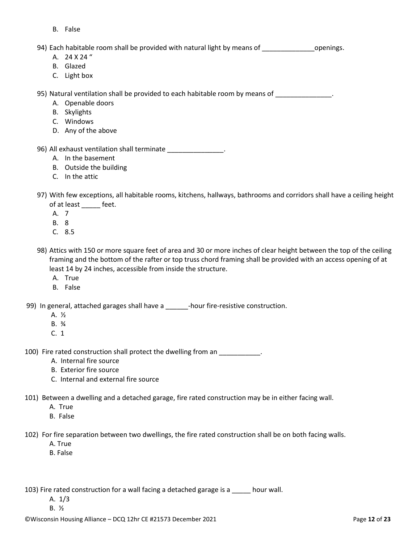B. False

94) Each habitable room shall be provided with natural light by means of entity openings.

- A. 24 X 24 "
- B. Glazed
- C. Light box

95) Natural ventilation shall be provided to each habitable room by means of **with the same of the same of the s** 

- A. Openable doors
- B. Skylights
- C. Windows
- D. Any of the above
- 96) All exhaust ventilation shall terminate \_\_\_\_\_\_\_\_\_\_\_\_\_\_\_\_.
	- A. In the basement
	- B. Outside the building
	- C. In the attic
- 97) With few exceptions, all habitable rooms, kitchens, hallways, bathrooms and corridors shall have a ceiling height of at least \_\_\_\_\_ feet.
	- A. 7
	- B. 8
	- C. 8.5
- 98) Attics with 150 or more square feet of area and 30 or more inches of clear height between the top of the ceiling framing and the bottom of the rafter or top truss chord framing shall be provided with an access opening of at least 14 by 24 inches, accessible from inside the structure.
	- A. True
	- B. False

99) In general, attached garages shall have a \_\_\_\_\_\_\_-hour fire-resistive construction.

- A. ½
- B. ¾
- C. 1

100) Fire rated construction shall protect the dwelling from an \_\_\_\_\_\_\_\_\_\_\_.

- A. Internal fire source
- B. Exterior fire source
- C. Internal and external fire source
- 101) Between a dwelling and a detached garage, fire rated construction may be in either facing wall.
	- A. True
	- B. False

102) For fire separation between two dwellings, the fire rated construction shall be on both facing walls.

- A. True
- B. False

103) Fire rated construction for a wall facing a detached garage is a \_\_\_\_\_ hour wall.

- A. 1/3
- B. ½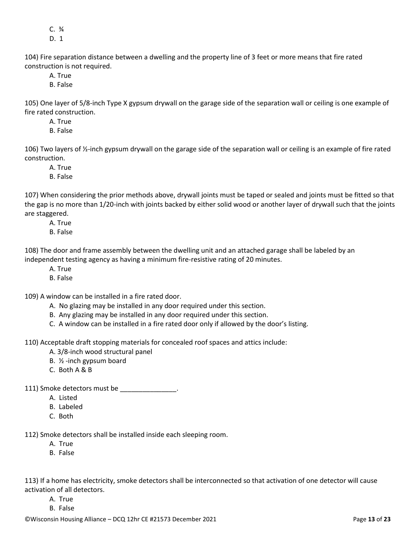C. ¾

D. 1

104) Fire separation distance between a dwelling and the property line of 3 feet or more means that fire rated construction is not required.

A. True

B. False

105) One layer of 5/8-inch Type X gypsum drywall on the garage side of the separation wall or ceiling is one example of fire rated construction.

A. True

B. False

106) Two layers of  $\frac{1}{2}$ -inch gypsum drywall on the garage side of the separation wall or ceiling is an example of fire rated construction.

A. True

B. False

107) When considering the prior methods above, drywall joints must be taped or sealed and joints must be fitted so that the gap is no more than 1/20-inch with joints backed by either solid wood or another layer of drywall such that the joints are staggered.

A. True

B. False

108) The door and frame assembly between the dwelling unit and an attached garage shall be labeled by an independent testing agency as having a minimum fire-resistive rating of 20 minutes.

- A. True
- B. False

109) A window can be installed in a fire rated door.

A. No glazing may be installed in any door required under this section.

- B. Any glazing may be installed in any door required under this section.
- C. A window can be installed in a fire rated door only if allowed by the door's listing.

110) Acceptable draft stopping materials for concealed roof spaces and attics include:

- A. 3/8-inch wood structural panel
- B. ½ -inch gypsum board
- C. Both A & B

111) Smoke detectors must be  $\blacksquare$ 

- A. Listed
- B. Labeled
- C. Both

112) Smoke detectors shall be installed inside each sleeping room.

- A. True
- B. False

113) If a home has electricity, smoke detectors shall be interconnected so that activation of one detector will cause activation of all detectors.

- A. True
- B. False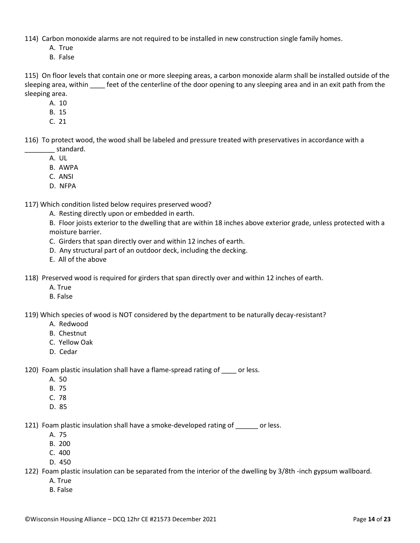114) Carbon monoxide alarms are not required to be installed in new construction single family homes.

- A. True
- B. False

115) On floor levels that contain one or more sleeping areas, a carbon monoxide alarm shall be installed outside of the sleeping area, within feet of the centerline of the door opening to any sleeping area and in an exit path from the sleeping area.

- A. 10
- B. 15
- C. 21

116) To protect wood, the wood shall be labeled and pressure treated with preservatives in accordance with a standard.

- A. UL
- B. AWPA
- C. ANSI
- D. NFPA

117) Which condition listed below requires preserved wood?

A. Resting directly upon or embedded in earth.

B. Floor joists exterior to the dwelling that are within 18 inches above exterior grade, unless protected with a moisture barrier.

- C. Girders that span directly over and within 12 inches of earth.
- D. Any structural part of an outdoor deck, including the decking.
- E. All of the above

118) Preserved wood is required for girders that span directly over and within 12 inches of earth.

- A. True
- B. False

119) Which species of wood is NOT considered by the department to be naturally decay-resistant?

- A. Redwood
- B. Chestnut
- C. Yellow Oak
- D. Cedar

120) Foam plastic insulation shall have a flame-spread rating of or less.

- A. 50
- B. 75
- C. 78
- D. 85

121) Foam plastic insulation shall have a smoke-developed rating of \_\_\_\_\_\_ or less.

- A. 75
- B. 200
- C. 400
- D. 450

122) Foam plastic insulation can be separated from the interior of the dwelling by 3/8th -inch gypsum wallboard.

- A. True
- B. False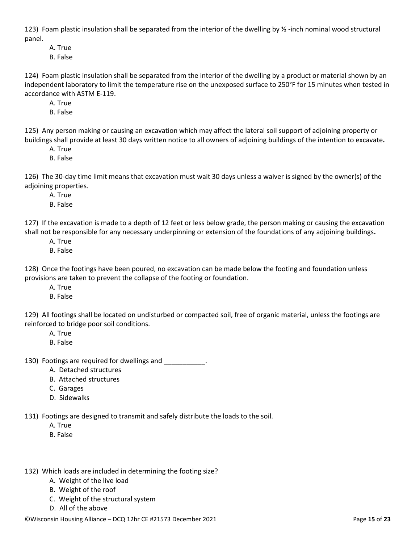123) Foam plastic insulation shall be separated from the interior of the dwelling by  $\frac{1}{2}$ -inch nominal wood structural panel.

A. True

B. False

124) Foam plastic insulation shall be separated from the interior of the dwelling by a product or material shown by an independent laboratory to limit the temperature rise on the unexposed surface to 250°F for 15 minutes when tested in accordance with ASTM E-119.

A. True

B. False

125) Any person making or causing an excavation which may affect the lateral soil support of adjoining property or buildings shall provide at least 30 days written notice to all owners of adjoining buildings of the intention to excavate**.**

A. True

B. False

126) The 30-day time limit means that excavation must wait 30 days unless a waiver is signed by the owner(s) of the adjoining properties.

A. True

B. False

127) If the excavation is made to a depth of 12 feet or less below grade, the person making or causing the excavation shall not be responsible for any necessary underpinning or extension of the foundations of any adjoining buildings**.**

- A. True
- B. False

128) Once the footings have been poured, no excavation can be made below the footing and foundation unless provisions are taken to prevent the collapse of the footing or foundation.

- A. True
- B. False

129) All footings shall be located on undisturbed or compacted soil, free of organic material, unless the footings are reinforced to bridge poor soil conditions.

- A. True
- B. False

130) Footings are required for dwellings and  $\qquad \qquad$ .

- A. Detached structures
- B. Attached structures
- C. Garages
- D. Sidewalks

131) Footings are designed to transmit and safely distribute the loads to the soil.

- A. True
- B. False
- 132) Which loads are included in determining the footing size?
	- A. Weight of the live load
	- B. Weight of the roof
	- C. Weight of the structural system
	- D. All of the above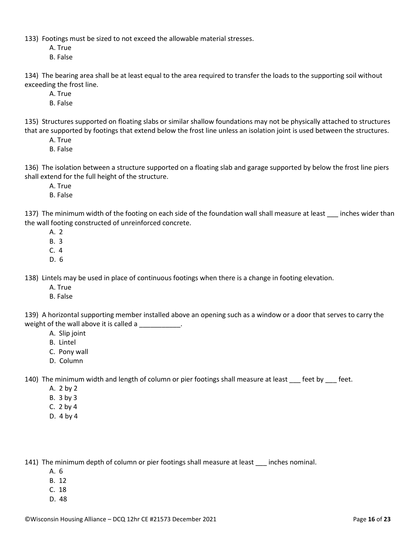133) Footings must be sized to not exceed the allowable material stresses.

- A. True
- B. False

134) The bearing area shall be at least equal to the area required to transfer the loads to the supporting soil without exceeding the frost line.

- A. True
- B. False

135) Structures supported on floating slabs or similar shallow foundations may not be physically attached to structures that are supported by footings that extend below the frost line unless an isolation joint is used between the structures.

- A. True
- B. False

136) The isolation between a structure supported on a floating slab and garage supported by below the frost line piers shall extend for the full height of the structure.

- A. True
- B. False

137) The minimum width of the footing on each side of the foundation wall shall measure at least inches wider than the wall footing constructed of unreinforced concrete.

- A. 2
- B. 3
- C. 4
- D. 6

138) Lintels may be used in place of continuous footings when there is a change in footing elevation.

- A. True
- B. False

139) A horizontal supporting member installed above an opening such as a window or a door that serves to carry the weight of the wall above it is called a \_\_\_\_\_\_\_\_\_\_\_.

- A. Slip joint
- B. Lintel
- C. Pony wall
- D. Column

140) The minimum width and length of column or pier footings shall measure at least feet by feet.

- A. 2 by 2
- B. 3 by 3
- C. 2 by 4
- D. 4 by 4

141) The minimum depth of column or pier footings shall measure at least inches nominal.

- A. 6
- B. 12
- C. 18
- D. 48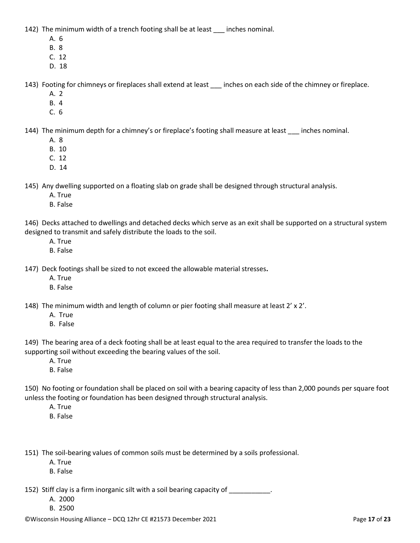142) The minimum width of a trench footing shall be at least \_\_\_ inches nominal.

- A. 6
- B. 8
- C. 12
- D. 18

143) Footing for chimneys or fireplaces shall extend at least inches on each side of the chimney or fireplace.

- A. 2
- B. 4
- C. 6

144) The minimum depth for a chimney's or fireplace's footing shall measure at least \_\_\_ inches nominal.

- A. 8
- B. 10
- C. 12
- D. 14

145) Any dwelling supported on a floating slab on grade shall be designed through structural analysis.

- A. True
- B. False

146) Decks attached to dwellings and detached decks which serve as an exit shall be supported on a structural system designed to transmit and safely distribute the loads to the soil.

- A. True
- B. False

147) Deck footings shall be sized to not exceed the allowable material stresses**.**

- A. True
- B. False

148) The minimum width and length of column or pier footing shall measure at least 2' x 2'.

- A. True
- B. False

149) The bearing area of a deck footing shall be at least equal to the area required to transfer the loads to the supporting soil without exceeding the bearing values of the soil.

- A. True
- B. False

150) No footing or foundation shall be placed on soil with a bearing capacity of less than 2,000 pounds per square foot unless the footing or foundation has been designed through structural analysis.

- A. True
- B. False

151) The soil-bearing values of common soils must be determined by a soils professional.

- A. True
- B. False

152) Stiff clay is a firm inorganic silt with a soil bearing capacity of \_\_\_\_\_\_\_\_\_\_\_.

- A. 2000
- B. 2500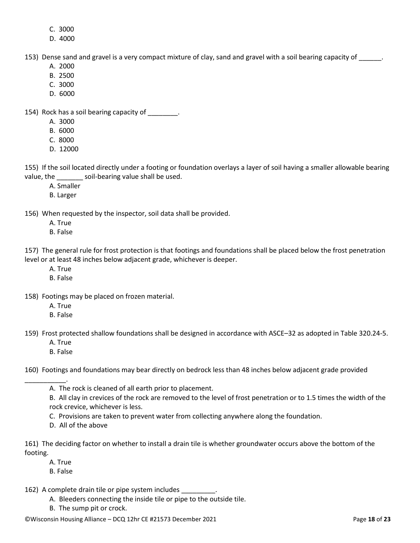- C. 3000
- D. 4000

153) Dense sand and gravel is a very compact mixture of clay, sand and gravel with a soil bearing capacity of

- A. 2000
- B. 2500
- C. 3000
- D. 6000

154) Rock has a soil bearing capacity of \_\_\_\_\_\_\_\_.

- A. 3000
- B. 6000
- C. 8000
- D. 12000

155) If the soil located directly under a footing or foundation overlays a layer of soil having a smaller allowable bearing value, the soil-bearing value shall be used.

- A. Smaller
- B. Larger

156) When requested by the inspector, soil data shall be provided.

- A. True
- B. False

157) The general rule for frost protection is that footings and foundations shall be placed below the frost penetration level or at least 48 inches below adjacent grade, whichever is deeper.

- A. True
- B. False
- 158) Footings may be placed on frozen material.
	- A. True
	- B. False

159) Frost protected shallow foundations shall be designed in accordance with ASCE–32 as adopted in Table 320.24-5.

- A. True
- B. False

160) Footings and foundations may bear directly on bedrock less than 48 inches below adjacent grade provided

\_\_\_\_\_\_\_\_\_\_\_. A. The rock is cleaned of all earth prior to placement.

> B. All clay in crevices of the rock are removed to the level of frost penetration or to 1.5 times the width of the rock crevice, whichever is less.

C. Provisions are taken to prevent water from collecting anywhere along the foundation.

D. All of the above

161) The deciding factor on whether to install a drain tile is whether groundwater occurs above the bottom of the footing.

A. True

- B. False
- 162) A complete drain tile or pipe system includes
	- A. Bleeders connecting the inside tile or pipe to the outside tile.
	- B. The sump pit or crock.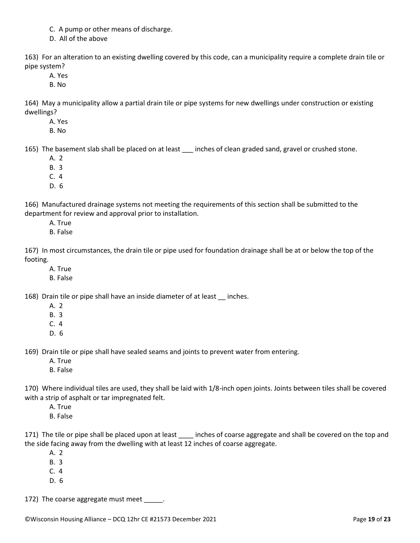- C. A pump or other means of discharge.
- D. All of the above

163) For an alteration to an existing dwelling covered by this code, can a municipality require a complete drain tile or pipe system?

- A. Yes
- B. No

164) May a municipality allow a partial drain tile or pipe systems for new dwellings under construction or existing dwellings?

A. Yes

B. No

165) The basement slab shall be placed on at least \_\_\_ inches of clean graded sand, gravel or crushed stone.

- A. 2
- B. 3
- C. 4
- D. 6

166) Manufactured drainage systems not meeting the requirements of this section shall be submitted to the department for review and approval prior to installation.

- A. True
- B. False

167) In most circumstances, the drain tile or pipe used for foundation drainage shall be at or below the top of the footing.

- A. True
- B. False

168) Drain tile or pipe shall have an inside diameter of at least \_\_ inches.

- A. 2
- B. 3
- C. 4
- D. 6

169) Drain tile or pipe shall have sealed seams and joints to prevent water from entering.

- A. True
- B. False

170) Where individual tiles are used, they shall be laid with 1/8-inch open joints. Joints between tiles shall be covered with a strip of asphalt or tar impregnated felt.

- A. True
- B. False

171) The tile or pipe shall be placed upon at least \_\_\_\_ inches of coarse aggregate and shall be covered on the top and the side facing away from the dwelling with at least 12 inches of coarse aggregate.

- A. 2
- B. 3
- C. 4
- D. 6

172) The coarse aggregate must meet \_\_\_\_\_.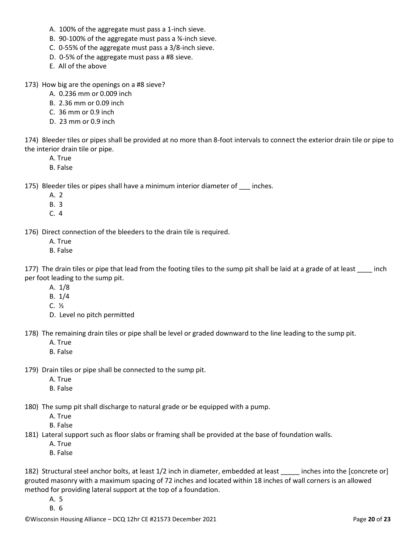- A. 100% of the aggregate must pass a 1-inch sieve.
- B. 90-100% of the aggregate must pass a ¾-inch sieve.
- C. 0-55% of the aggregate must pass a 3/8-inch sieve.
- D. 0-5% of the aggregate must pass a #8 sieve.
- E. All of the above
- 173) How big are the openings on a #8 sieve?
	- A. 0.236 mm or 0.009 inch
	- B. 2.36 mm or 0.09 inch
	- C. 36 mm or 0.9 inch
	- D. 23 mm or 0.9 inch

174) Bleeder tiles or pipes shall be provided at no more than 8-foot intervals to connect the exterior drain tile or pipe to the interior drain tile or pipe.

- A. True
- B. False

175) Bleeder tiles or pipes shall have a minimum interior diameter of inches.

- A. 2
- B. 3
- C. 4

176) Direct connection of the bleeders to the drain tile is required.

- A. True
- B. False

177) The drain tiles or pipe that lead from the footing tiles to the sump pit shall be laid at a grade of at least inch per foot leading to the sump pit.

- A. 1/8
- B. 1/4
- C. ½
- D. Level no pitch permitted

178) The remaining drain tiles or pipe shall be level or graded downward to the line leading to the sump pit.

- A. True
- B. False

179) Drain tiles or pipe shall be connected to the sump pit.

- A. True
- B. False

180) The sump pit shall discharge to natural grade or be equipped with a pump.

A. True

B. False

181) Lateral support such as floor slabs or framing shall be provided at the base of foundation walls.

- A. True
- B. False

182) Structural steel anchor bolts, at least 1/2 inch in diameter, embedded at least inches into the [concrete or] grouted masonry with a maximum spacing of 72 inches and located within 18 inches of wall corners is an allowed method for providing lateral support at the top of a foundation.

A. 5 B. 6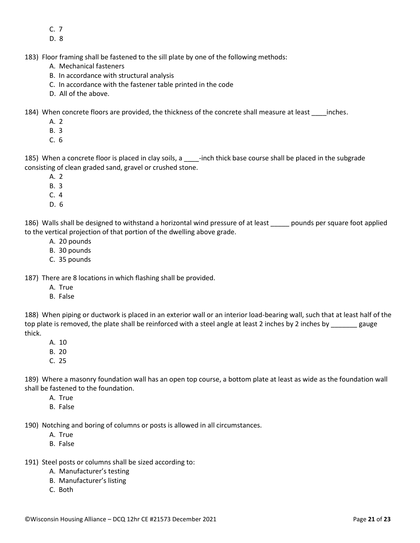- C. 7
- D. 8

183) Floor framing shall be fastened to the sill plate by one of the following methods:

- A. Mechanical fasteners
- B. In accordance with structural analysis
- C. In accordance with the fastener table printed in the code
- D. All of the above.

184) When concrete floors are provided, the thickness of the concrete shall measure at least \_\_\_\_inches.

- A. 2
- B. 3
- C. 6

185) When a concrete floor is placed in clay soils, a \_\_\_\_-inch thick base course shall be placed in the subgrade consisting of clean graded sand, gravel or crushed stone.

- A. 2
- B. 3
- C. 4
- D. 6

186) Walls shall be designed to withstand a horizontal wind pressure of at least pounds per square foot applied to the vertical projection of that portion of the dwelling above grade.

- A. 20 pounds
- B. 30 pounds
- C. 35 pounds

187) There are 8 locations in which flashing shall be provided.

- A. True
- B. False

188) When piping or ductwork is placed in an exterior wall or an interior load-bearing wall, such that at least half of the top plate is removed, the plate shall be reinforced with a steel angle at least 2 inches by 2 inches by gauge thick.

- A. 10
- B. 20
- C. 25

189) Where a masonry foundation wall has an open top course, a bottom plate at least as wide as the foundation wall shall be fastened to the foundation.

- A. True
- B. False

190) Notching and boring of columns or posts is allowed in all circumstances.

- A. True
- B. False
- 191) Steel posts or columns shall be sized according to:
	- A. Manufacturer's testing
	- B. Manufacturer's listing
	- C. Both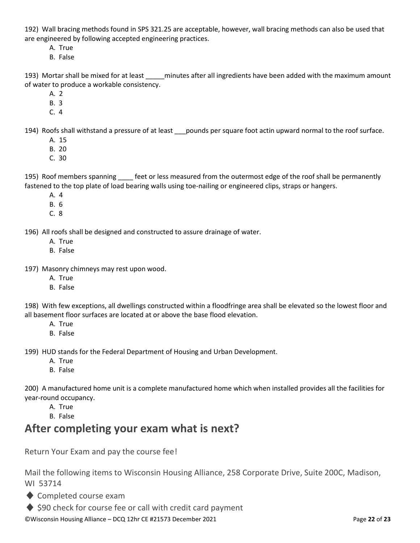192) Wall bracing methods found in SPS 321.25 are acceptable, however, wall bracing methods can also be used that are engineered by following accepted engineering practices.

- A. True
- B. False

193) Mortar shall be mixed for at least minutes after all ingredients have been added with the maximum amount of water to produce a workable consistency.

- A. 2
- B. 3
- C. 4

194) Roofs shall withstand a pressure of at least pounds per square foot actin upward normal to the roof surface.

- A. 15
- B. 20
- C. 30

195) Roof members spanning feet or less measured from the outermost edge of the roof shall be permanently fastened to the top plate of load bearing walls using toe-nailing or engineered clips, straps or hangers.

- A. 4
- B. 6
- C. 8

196) All roofs shall be designed and constructed to assure drainage of water.

- A. True
- B. False
- 197) Masonry chimneys may rest upon wood.
	- A. True
	- B. False

198) With few exceptions, all dwellings constructed within a floodfringe area shall be elevated so the lowest floor and all basement floor surfaces are located at or above the base flood elevation.

- A. True
- B. False

199) HUD stands for the Federal Department of Housing and Urban Development.

- A. True
- B. False

200) A manufactured home unit is a complete manufactured home which when installed provides all the facilities for year-round occupancy.

- A. True
- B. False

# **After completing your exam what is next?**

Return Your Exam and pay the course fee!

Mail the following items to Wisconsin Housing Alliance, 258 Corporate Drive, Suite 200C, Madison, WI 53714

- ♦ Completed course exam
- ◆ \$90 check for course fee or call with credit card payment

©Wisconsin Housing Alliance – DCQ 12hr CE #21573 December 2021 Page **22** of **23**